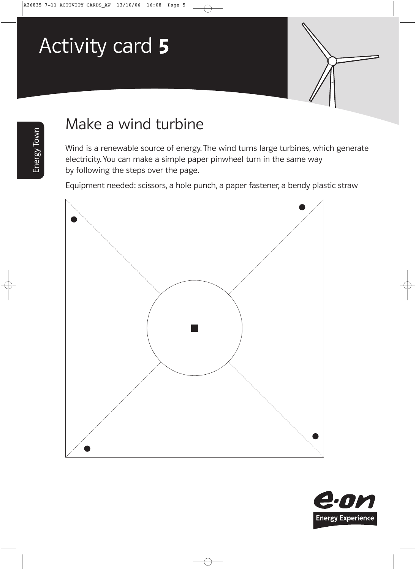## Activity card 5



## Make a wind turbine

Wind is a renewable source of energy. The wind turns large turbines, which generate electricity. You can make a simple paper pinwheel turn in the same way by following the steps over the page.

Equipment needed: scissors, a hole punch, a paper fastener, a bendy plastic straw